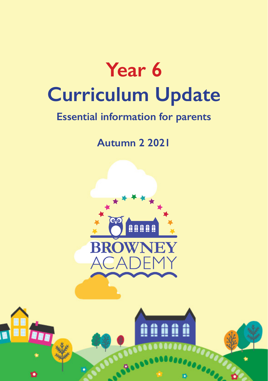

# **Essential information for parents**

**Autumn 2 2021**



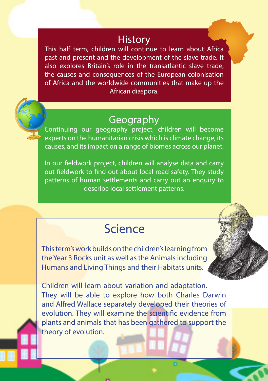#### **History**

This half term, children will continue to learn about Africa past and present and the development of the slave trade. It also explores Britain's role in the transatlantic slave trade, the causes and consequences of the European colonisation of Africa and the worldwide communities that make up the African diaspora.

### Geography

Continuing our geography project, children will become experts on the humanitarian crisis which is climate change, its causes, and its impact on a range of biomes across our planet.

In our fieldwork project, children will analyse data and carry out fieldwork to find out about local road safety. They study patterns of human settlements and carry out an enquiry to describe local settlement patterns.

# Science

This term's work builds on the children's learning from the Year 3 Rocks unit as well as the Animals including Humans and Living Things and their Habitats units.

Children will learn about variation and adaptation. They will be able to explore how both Charles Darwin and Alfred Wallace separately developed their theories of evolution. They will examine the scientific evidence from plants and animals that has been gathered to support the theory of evolution.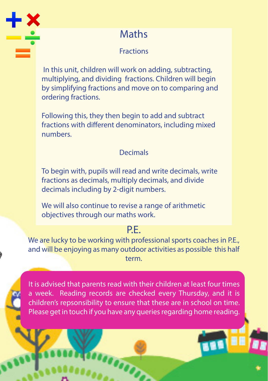

## **Maths**

#### **Fractions**

 In this unit, children will work on adding, subtracting, multiplying, and dividing fractions. Children will begin by simplifying fractions and move on to comparing and ordering fractions.

Following this, they then begin to add and subtract fractions with different denominators, including mixed numbers.

#### Decimals

To begin with, pupils will read and write decimals, write fractions as decimals, multiply decimals, and divide decimals including by 2-digit numbers.

We will also continue to revise a range of arithmetic objectives through our maths work.

#### P<sub>F</sub>

We are lucky to be working with professional sports coaches in P.E., and will be enjoying as many outdoor activities as possible this half term.

It is advised that parents read with their children at least four times a week. Reading records are checked every Thursday, and it is children's repsonsibility to ensure that these are in school on time. Please get in touch if you have any queries regarding home reading.